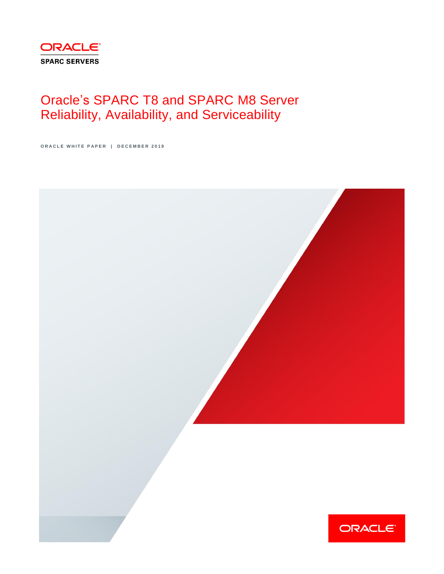

# Oracle's SPARC T8 and SPARC M8 Server Reliability, Availability, and Serviceability

ORACLE WHITE PAPER | DECEMBER 2019

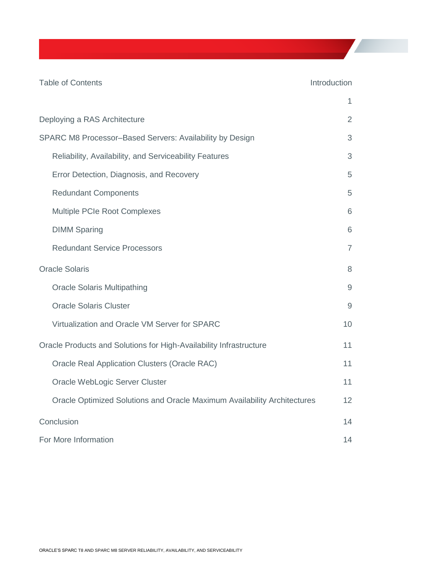| <b>Table of Contents</b>                                                 | Introduction   |
|--------------------------------------------------------------------------|----------------|
|                                                                          | 1              |
| Deploying a RAS Architecture                                             | 2              |
| SPARC M8 Processor-Based Servers: Availability by Design                 | 3              |
| Reliability, Availability, and Serviceability Features                   | 3              |
| Error Detection, Diagnosis, and Recovery                                 | 5              |
| <b>Redundant Components</b>                                              | 5              |
| Multiple PCIe Root Complexes                                             | 6              |
| <b>DIMM Sparing</b>                                                      | 6              |
| <b>Redundant Service Processors</b>                                      | $\overline{7}$ |
| <b>Oracle Solaris</b>                                                    | 8              |
| <b>Oracle Solaris Multipathing</b>                                       | $\overline{9}$ |
| <b>Oracle Solaris Cluster</b>                                            | 9              |
| Virtualization and Oracle VM Server for SPARC                            | 10             |
| Oracle Products and Solutions for High-Availability Infrastructure       | 11             |
| <b>Oracle Real Application Clusters (Oracle RAC)</b>                     | 11             |
| Oracle WebLogic Server Cluster                                           | 11             |
| Oracle Optimized Solutions and Oracle Maximum Availability Architectures | 12             |
| Conclusion                                                               | 14             |
| For More Information                                                     | 14             |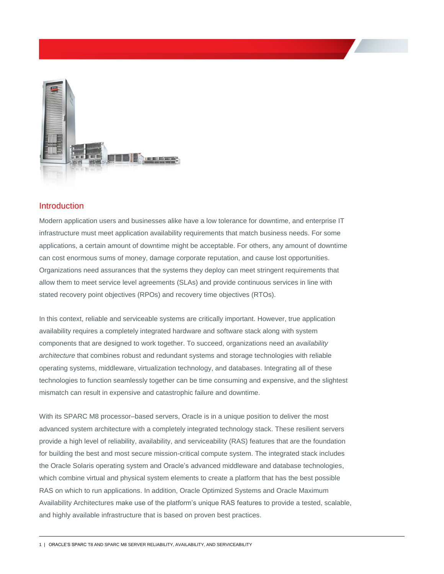

## <span id="page-2-0"></span>Introduction

Modern application users and businesses alike have a low tolerance for downtime, and enterprise IT infrastructure must meet application availability requirements that match business needs. For some applications, a certain amount of downtime might be acceptable. For others, any amount of downtime can cost enormous sums of money, damage corporate reputation, and cause lost opportunities. Organizations need assurances that the systems they deploy can meet stringent requirements that allow them to meet service level agreements (SLAs) and provide continuous services in line with stated recovery point objectives (RPOs) and recovery time objectives (RTOs).

In this context, reliable and serviceable systems are critically important. However, true application availability requires a completely integrated hardware and software stack along with system components that are designed to work together. To succeed, organizations need an *availability architecture* that combines robust and redundant systems and storage technologies with reliable operating systems, middleware, virtualization technology, and databases. Integrating all of these technologies to function seamlessly together can be time consuming and expensive, and the slightest mismatch can result in expensive and catastrophic failure and downtime.

 advanced system architecture with a completely integrated technology stack. These resilient servers provide a high level of reliability, availability, and serviceability (RAS) features that are the foundation for building the best and most secure mission-critical compute system. The integrated stack includes With its SPARC M8 processor–based servers, Oracle is in a unique position to deliver the most the Oracle Solaris operating system and Oracle's advanced middleware and database technologies, which combine virtual and physical system elements to create a platform that has the best possible RAS on which to run applications. In addition, Oracle Optimized Systems and Oracle Maximum Availability Architectures make use of the platform's unique RAS features to provide a tested, scalable, and highly available infrastructure that is based on proven best practices.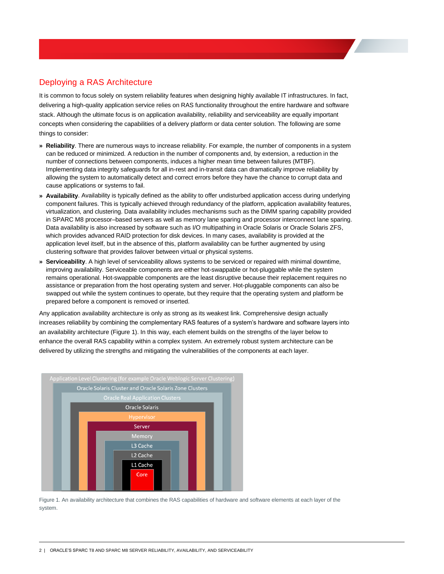## <span id="page-3-0"></span>Deploying a RAS Architecture

 It is common to focus solely on system reliability features when designing highly available IT infrastructures. In fact, delivering a high-quality application service relies on RAS functionality throughout the entire hardware and software stack. Although the ultimate focus is on application availability, reliability and serviceability are equally important concepts when considering the capabilities of a delivery platform or data center solution. The following are some things to consider:

- **» Reliability**. There are numerous ways to increase reliability. For example, the number of components in a system can be reduced or minimized. A reduction in the number of components and, by extension, a reduction in the number of connections between components, induces a higher mean time between failures (MTBF). Implementing data integrity safeguards for all in-rest and in-transit data can dramatically improve reliability by allowing the system to automatically detect and correct errors before they have the chance to corrupt data and cause applications or systems to fail.
- **» Availability**. Availability is typically defined as the ability to offer undisturbed application access during underlying component failures. This is typically achieved through redundancy of the platform, application availability features, virtualization, and clustering. Data availability includes mechanisms such as the DIMM sparing capability provided in SPARC M8 processor–based servers as well as memory lane sparing and processor interconnect lane sparing. Data availability is also increased by software such as I/O multipathing in Oracle Solaris or Oracle Solaris ZFS, which provides advanced RAID protection for disk devices. In many cases, availability is provided at the application level itself, but in the absence of this, platform availability can be further augmented by using clustering software that provides failover between virtual or physical systems. **Deploying a RAS Architecture**<br>
It is common to focus solely on system relia<br>
delivering a high-quality application service<br>
stack. Although the ultimate focus is on app<br>
concepts when considering the capabilities<br>
things
- **» Serviceability**. A high level of serviceability allows systems to be serviced or repaired with minimal downtime, improving availability. Serviceable components are either hot-swappable or hot-pluggable while the system remains operational. Hot-swappable components are the least disruptive because their replacement requires no assistance or preparation from the host operating system and server. Hot-pluggable components can also be swapped out while the system continues to operate, but they require that the operating system and platform be prepared before a component is removed or inserted.

 Any application availability architecture is only as strong as its weakest link. Comprehensive design actually increases reliability by combining the complementary RAS features of a system's hardware and software layers into an availability architecture (Figure 1). In this way, each element builds on the strengths of the layer below to enhance the overall RAS capability within a complex system. An extremely robust system architecture can be delivered by utilizing the strengths and mitigating the vulnerabilities of the components at each layer.



 Figure 1. An availability architecture that combines the RAS capabilities of hardware and software elements at each layer of the system.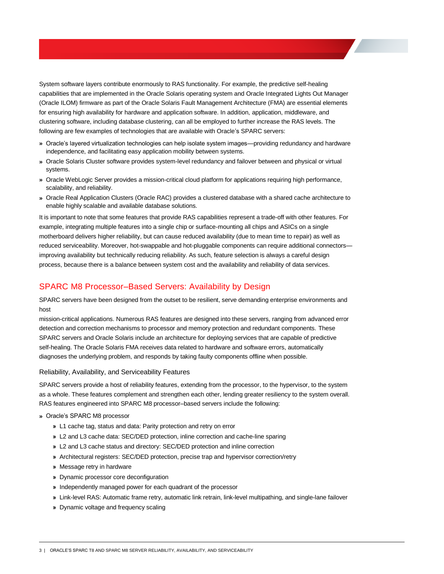System software layers contribute enormously to RAS functionality. For example, the predictive self-healing capabilities that are implemented in the Oracle Solaris operating system and Oracle Integrated Lights Out Manager (Oracle ILOM) firmware as part of the Oracle Solaris Fault Management Architecture (FMA) are essential elements for ensuring high availability for hardware and application software. In addition, application, middleware, and clustering software, including database clustering, can all be employed to further increase the RAS levels. The following are few examples of technologies that are available with Oracle's SPARC servers:

- **»** Oracle's layered virtualization technologies can help isolate system images—providing redundancy and hardware independence, and facilitating easy application mobility between systems.
- **»** Oracle Solaris Cluster software provides system-level redundancy and failover between and physical or virtual systems.
- **»** Oracle WebLogic Server provides a mission-critical cloud platform for applications requiring high performance, scalability, and reliability.
- **»** Oracle Real Application Clusters (Oracle RAC) provides a clustered database with a shared cache architecture to enable highly scalable and available database solutions.

 It is important to note that some features that provide RAS capabilities represent a trade-off with other features. For example, integrating multiple features into a single chip or surface-mounting all chips and ASICs on a single motherboard delivers higher reliability, but can cause reduced availability (due to mean time to repair) as well as reduced serviceability. Moreover, hot-swappable and hot-pluggable components can require additional connectors— improving availability but technically reducing reliability. As such, feature selection is always a careful design process, because there is a balance between system cost and the availability and reliability of data services. System software layers contribute enormously to RAS functionally, For example, the predictive self-healing controllings that provides a part of the Oracle in Control Control (Changent Control Control (Changent Changent Cha

## <span id="page-4-0"></span>SPARC M8 Processor–Based Servers: Availability by Design

SPARC servers have been designed from the outset to be resilient, serve demanding enterprise environments and

host<br>mission-critical applications. Numerous RAS features are designed into these servers, ranging from advanced error detection and correction mechanisms to processor and memory protection and redundant components. These SPARC servers and Oracle Solaris include an architecture for deploying services that are capable of predictive self-healing. The Oracle Solaris FMA receives data related to hardware and software errors, automatically diagnoses the underlying problem, and responds by taking faulty components offline when possible.

<span id="page-4-1"></span>Reliability, Availability, and Serviceability Features

 SPARC servers provide a host of reliability features, extending from the processor, to the hypervisor, to the system as a whole. These features complement and strengthen each other, lending greater resiliency to the system overall. RAS features engineered into SPARC M8 processor–based servers include the following:

#### **»** Oracle's SPARC M8 processor

- **»** L1 cache tag, status and data: Parity protection and retry on error
- **»** L2 and L3 cache data: SEC/DED protection, inline correction and cache-line sparing
- **»** L2 and L3 cache status and directory: SEC/DED protection and inline correction
- **»** Architectural registers: SEC/DED protection, precise trap and hypervisor correction/retry
- **»** Message retry in hardware
- **»** Dynamic processor core deconfiguration
- **»** Independently managed power for each quadrant of the processor
- **»** Link-level RAS: Automatic frame retry, automatic link retrain, link-level multipathing, and single-lane failover
- **»** Dynamic voltage and frequency scaling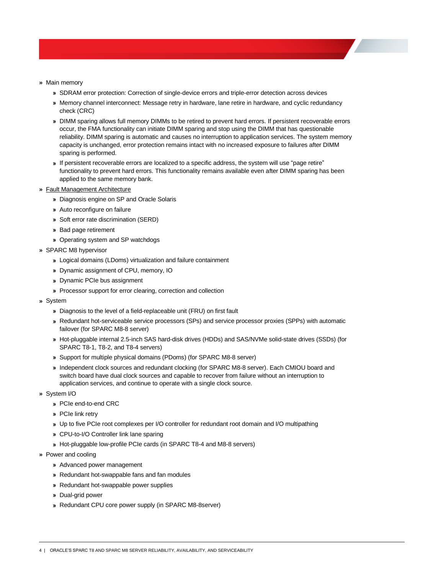- **»** Main memory
	- **»** SDRAM error protection: Correction of single-device errors and triple-error detection across devices
	- **»** Memory channel interconnect: Message retry in hardware, lane retire in hardware, and cyclic redundancy check (CRC)
	- **»** DIMM sparing allows full memory DIMMs to be retired to prevent hard errors. If persistent recoverable errors occur, the FMA functionality can initiate DIMM sparing and stop using the DIMM that has questionable reliability. DIMM sparing is automatic and causes no interruption to application services. The system memory capacity is unchanged, error protection remains intact with no increased exposure to failures after DIMM sparing is performed.
	- **»** If persistent recoverable errors are localized to a specific address, the system will use "page retire" functionality to prevent hard errors. This functionality remains available even after DIMM sparing has been applied to the same memory bank.
- **»** Fault Management Architecture
	- **»** Diagnosis engine on SP and Oracle Solaris
	- **»** Auto reconfigure on failure
	- **»** Soft error rate discrimination (SERD)
	- **»** Bad page retirement
	- **»** Operating system and SP watchdogs
- **»** SPARC M8 hypervisor
	- **»** Logical domains (LDoms) virtualization and failure containment
	- **»** Dynamic assignment of CPU, memory, IO
	- **»** Dynamic PCIe bus assignment
	- **»** Processor support for error clearing, correction and collection
- **»** System
	- **»** Diagnosis to the level of a field-replaceable unit (FRU) on first fault
	- **»** Redundant hot-serviceable service processors (SPs) and service processor proxies (SPPs) with automatic failover (for SPARC M8-8 server)
	- **»** Hot-pluggable internal 2.5-inch SAS hard-disk drives (HDDs) and SAS/NVMe solid-state drives (SSDs) (for SPARC T8-1, T8-2, and T8-4 servers)
	- **»** Support for multiple physical domains (PDoms) (for SPARC M8-8 server)
	- **»** Independent clock sources and redundant clocking (for SPARC M8-8 server). Each CMIOU board and switch board have dual clock sources and capable to recover from failure without an interruption to application services, and continue to operate with a single clock source.
- **»** System I/O
	- **»** PCIe end-to-end CRC
	- **»** PCIe link retry
	- **»** Up to five PCIe root complexes per I/O controller for redundant root domain and I/O multipathing
	- **»** CPU-to-I/O Controller link lane sparing
	- **»** Hot-pluggable low-profile PCIe cards (in SPARC T8-4 and M8-8 servers)
- **»** Power and cooling
	- **»** Advanced power management
	- **»** Redundant hot-swappable fans and fan modules
	- **»** Redundant hot-swappable power supplies
	- **»** Dual-grid power
	- **»** Redundant CPU core power supply (in SPARC M8-8server)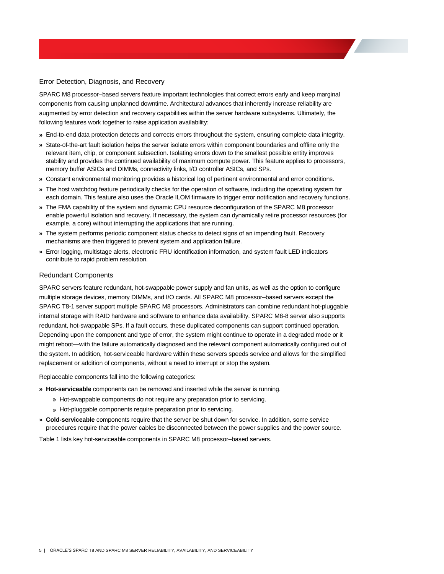#### <span id="page-6-0"></span>Error Detection, Diagnosis, and Recovery

 SPARC M8 processor–based servers feature important technologies that correct errors early and keep marginal components from causing unplanned downtime. Architectural advances that inherently increase reliability are augmented by error detection and recovery capabilities within the server hardware subsystems. Ultimately, the following features work together to raise application availability:

- **»** End-to-end data protection detects and corrects errors throughout the system, ensuring complete data integrity.
- **»** State-of-the-art fault isolation helps the server isolate errors within component boundaries and offline only the relevant item, chip, or component subsection. Isolating errors down to the smallest possible entity improves stability and provides the continued availability of maximum compute power. This feature applies to processors, memory buffer ASICs and DIMMs, connectivity links, I/O controller ASICs, and SPs.
- **»** Constant environmental monitoring provides a historical log of pertinent environmental and error conditions.
- **»** The host watchdog feature periodically checks for the operation of software, including the operating system for each domain. This feature also uses the Oracle ILOM firmware to trigger error notification and recovery functions.
- **»** The FMA capability of the system and dynamic CPU resource deconfiguration of the SPARC M8 processor enable powerful isolation and recovery. If necessary, the system can dynamically retire processor resources (for example, a core) without interrupting the applications that are running.
- **»** The system performs periodic component status checks to detect signs of an impending fault. Recovery mechanisms are then triggered to prevent system and application failure.
- **»** Error logging, multistage alerts, electronic FRU identification information, and system fault LED indicators contribute to rapid problem resolution.

#### <span id="page-6-1"></span>Redundant Components

 SPARC servers feature redundant, hot-swappable power supply and fan units, as well as the option to configure multiple storage devices, memory DIMMs, and I/O cards. All SPARC M8 processor–based servers except the SPARC T8-1 server support multiple SPARC M8 processors. Administrators can combine redundant hot-pluggable internal storage with RAID hardware and software to enhance data availability. SPARC M8-8 server also supports redundant, hot-swappable SPs. If a fault occurs, these duplicated components can support continued operation. Depending upon the component and type of error, the system might continue to operate in a degraded mode or it might reboot—with the failure automatically diagnosed and the relevant component automatically configured out of the system. In addition, hot-serviceable hardware within these servers speeds service and allows for the simplified replacement or addition of components, without a need to interrupt or stop the system.

Replaceable components fall into the following categories:

- **» Hot-serviceable** components can be removed and inserted while the server is running.
	- **»** Hot-swappable components do not require any preparation prior to servicing.
	- **»** Hot-pluggable components require preparation prior to servicing.
- **» Cold-serviceable** components require that the server be shut down for service. In addition, some service procedures require that the power cables be disconnected between the power supplies and the power source.

Table 1 lists key hot-serviceable components in SPARC M8 processor–based servers.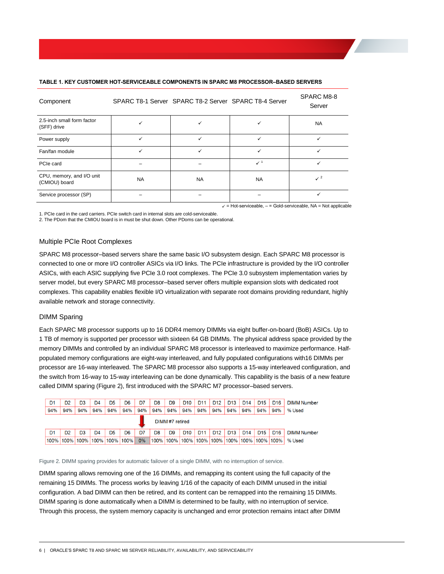| Component                                  |           | SPARC T8-1 Server SPARC T8-2 Server SPARC T8-4 Server |                | SPARC M8-8<br>Server |
|--------------------------------------------|-----------|-------------------------------------------------------|----------------|----------------------|
| 2.5-inch small form factor<br>(SFF) drive  |           |                                                       |                | <b>NA</b>            |
| Power supply                               | ✓         | ✓                                                     | $\checkmark$   | ✓                    |
| Fan/fan module                             | ✓         | ✓                                                     | $\checkmark$   |                      |
| PCIe card                                  |           |                                                       | $\checkmark$ 1 |                      |
| CPU, memory, and I/O unit<br>(CMIOU) board | <b>NA</b> | <b>NA</b>                                             | <b>NA</b>      | $\checkmark$ 2       |
| Service processor (SP)                     |           |                                                       |                | ✓                    |

#### **TABLE 1. KEY CUSTOMER HOT-SERVICEABLE COMPONENTS IN SPARC M8 PROCESSOR–BASED SERVERS**

 $\checkmark$  = Hot-serviceable,  $-$  = Gold-serviceable, NA = Not applicable

 1. PCIe card in the card carriers. PCIe switch card in internal slots are cold-serviceable. 2. The PDom that the CMIOU board is in must be shut down. Other PDoms can be operational.

#### <span id="page-7-0"></span>Multiple PCIe Root Complexes

 SPARC M8 processor–based servers share the same basic I/O subsystem design. Each SPARC M8 processor is connected to one or more I/O controller ASICs via I/O links. The PCIe infrastructure is provided by the I/O controller ASICs, with each ASIC supplying five PCIe 3.0 root complexes. The PCIe 3.0 subsystem implementation varies by server model, but every SPARC M8 processor–based server offers multiple expansion slots with dedicated root complexes. This capability enables flexible I/O virtualization with separate root domains providing redundant, highly available network and storage connectivity.

#### <span id="page-7-1"></span>DIMM Sparing

 Each SPARC M8 processor supports up to 16 DDR4 memory DIMMs via eight buffer-on-board (BoB) ASICs. Up to 1 TB of memory is supported per processor with sixteen 64 GB DIMMs. The physical address space provided by the memory DIMMs and controlled by an individual SPARC M8 processor is interleaved to maximize performance. Half- populated memory configurations are eight-way interleaved, and fully populated configurations with16 DIMMs per processor are 16-way interleaved. The SPARC M8 processor also supports a 15-way interleaved configuration, and the switch from 16-way to 15-way interleaving can be done dynamically. This capability is the basis of a new feature called DIMM sparing (Figure 2), first introduced with the SPARC M7 processor–based servers.



#### Figure 2. DIMM sparing provides for automatic failover of a single DIMM, with no interruption of service.

 DIMM sparing allows removing one of the 16 DIMMs, and remapping its content using the full capacity of the remaining 15 DIMMs. The process works by leaving 1/16 of the capacity of each DIMM unused in the initial configuration. A bad DIMM can then be retired, and its content can be remapped into the remaining 15 DIMMs. DIMM sparing is done automatically when a DIMM is determined to be faulty, with no interruption of service. Through this process, the system memory capacity is unchanged and error protection remains intact after DIMM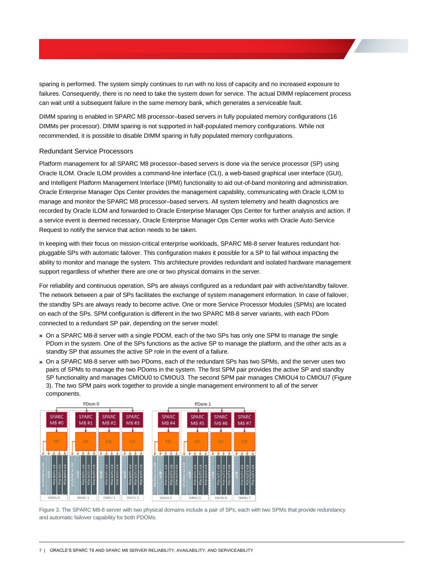sparing is performed. The system simply continues to run with no loss of capacity and no increased exposure to failures. Consequently, there is no need to take the system down for service. The actual DIMM replacement process can wait until a subsequent failure in the same memory bank, which generates a serviceable fault.

 DIMM sparing is enabled in SPARC M8 processor–based servers in fully populated memory configurations (16 DIMMs per processor). DIMM sparing is not supported in half-populated memory configurations. While not recommended, it is possible to disable DIMM sparing in fully populated memory configurations.

#### <span id="page-8-0"></span>Redundant Service Processors

 Platform management for all SPARC M8 processor–based servers is done via the service processor (SP) using Oracle ILOM. Oracle ILOM provides a command-line interface (CLI), a web-based graphical user interface (GUI), and Intelligent Platform Management Interface (IPMI) functionality to aid out-of-band monitoring and administration. Oracle Enterprise Manager Ops Center provides the management capability, communicating with Oracle ILOM to manage and monitor the SPARC M8 processor–based servers. All system telemetry and health diagnostics are recorded by Oracle ILOM and forwarded to Oracle Enterprise Manager Ops Center for further analysis and action. If a service event is deemed necessary, Oracle Enterprise Manager Ops Center works with Oracle Auto Service Request to notify the service that action needs to be taken.

 In keeping with their focus on mission-critical enterprise workloads, SPARC M8-8 server features redundant hot- pluggable SPs with automatic failover. This configuration makes it possible for a SP to fail without impacting the ability to monitor and manage the system. This architecture provides redundant and isolated hardware management support regardless of whether there are one or two physical domains in the server.

 For reliability and continuous operation, SPs are always configured as a redundant pair with active/standby failover. The network between a pair of SPs facilitates the exchange of system management information. In case of failover, the standby SPs are always ready to become active. One or more Service Processor Modules (SPMs) are located on each of the SPs. SPM configuration is different in the two SPARC M8-8 server variants, with each PDom connected to a redundant SP pair, depending on the server model:

- **»** On a SPARC M8-8 server with a single PDOM, each of the two SPs has only one SPM to manage the single PDom in the system. One of the SPs functions as the active SP to manage the platform, and the other acts as a standby SP that assumes the active SP role in the event of a failure.
- **»** On a SPARC M8-8 server with two PDoms, each of the redundant SPs has two SPMs, and the server uses two pairs of SPMs to manage the two PDoms in the system. The first SPM pair provides the active SP and standby SP functionality and manages CMIOU0 to CMIOU3. The second SPM pair manages CMIOU4 to CMIOU7 (Figure 3). The two SPM pairs work together to provide a single management environment to all of the server components.



 Figure 3. The SPARC M8-8 server with two physical domains include a pair of SPs, each with two SPMs that provide redundancy and automatic failover capability for both PDOMs.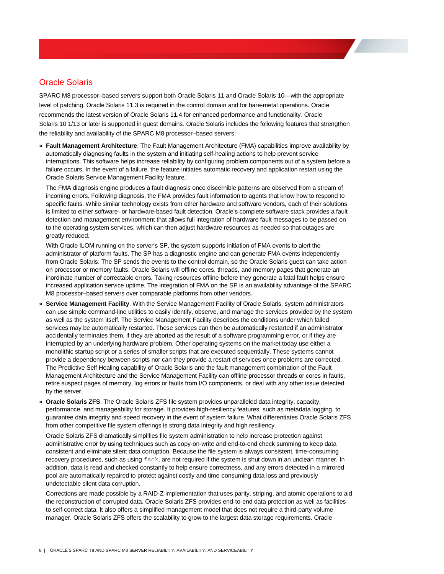## <span id="page-9-0"></span>Oracle Solaris

 SPARC M8 processor–based servers support both Oracle Solaris 11 and Oracle Solaris 10—with the appropriate level of patching. Oracle Solaris 11.3 is required in the control domain and for bare-metal operations. Oracle recommends the latest version of Oracle Solaris 11.4 for enhanced performance and functionality. Oracle Solaris 10 1/13 or later is supported in guest domains. Oracle Solaris includes the following features that strengthen the reliability and availability of the SPARC M8 processor–based servers:

 **» Fault Management Architecture**. The Fault Management Architecture (FMA) capabilities improve availability by automatically diagnosing faults in the system and initiating self-healing actions to help prevent service interruptions. This software helps increase reliability by configuring problem components out of a system before a failure occurs. In the event of a failure, the feature initiates automatic recovery and application restart using the Oracle Solaris Service Management Facility feature.

 The FMA diagnosis engine produces a fault diagnosis once discernible patterns are observed from a stream of incoming errors. Following diagnosis, the FMA provides fault information to agents that know how to respond to specific faults. While similar technology exists from other hardware and software vendors, each of their solutions is limited to either software- or hardware-based fault detection. Oracle's complete software stack provides a fault detection and management environment that allows full integration of hardware fault messages to be passed on to the operating system services, which can then adjust hardware resources as needed so that outages are greatly reduced.

 With Oracle ILOM running on the server's SP, the system supports initiation of FMA events to alert the administrator of platform faults. The SP has a diagnostic engine and can generate FMA events independently from Oracle Solaris. The SP sends the events to the control domain, so the Oracle Solaris guest can take action on processor or memory faults. Oracle Solaris will offline cores, threads, and memory pages that generate an inordinate number of correctable errors. Taking resources offline before they generate a fatal fault helps ensure increased application service uptime. The integration of FMA on the SP is an availability advantage of the SPARC M8 processor–based servers over comparable platforms from other vendors.

- **» Service Management Facility**. With the Service Management Facility of Oracle Solaris, system administrators can use simple command-line utilities to easily identify, observe, and manage the services provided by the system as well as the system itself. The Service Management Facility describes the conditions under which failed services may be automatically restarted. These services can then be automatically restarted if an administrator accidentally terminates them, if they are aborted as the result of a software programming error, or if they are interrupted by an underlying hardware problem. Other operating systems on the market today use either a monolithic startup script or a series of smaller scripts that are executed sequentially. These systems cannot provide a dependency between scripts nor can they provide a restart of services once problems are corrected. The Predictive Self Healing capability of Oracle Solaris and the fault management combination of the Fault Management Architecture and the Service Management Facility can offline processor threads or cores in faults, retire suspect pages of memory, log errors or faults from I/O components, or deal with any other issue detected by the server.
- **» Oracle Solaris ZFS**. The Oracle Solaris ZFS file system provides unparalleled data integrity, capacity, performance, and manageability for storage. It provides high-resiliency features, such as metadata logging, to guarantee data integrity and speed recovery in the event of system failure. What differentiates Oracle Solaris ZFS from other competitive file system offerings is strong data integrity and high resiliency.

 Oracle Solaris ZFS dramatically simplifies file system administration to help increase protection against administrative error by using techniques such as copy-on-write and end-to-end check summing to keep data consistent and eliminate silent data corruption. Because the file system is always consistent, time-consuming recovery procedures, such as using fsck, are not required if the system is shut down in an unclean manner. In addition, data is read and checked constantly to help ensure correctness, and any errors detected in a mirrored pool are automatically repaired to protect against costly and time-consuming data loss and previously undetectable silent data corruption.

 Corrections are made possible by a RAID-Z implementation that uses parity, striping, and atomic operations to aid the reconstruction of corrupted data. Oracle Solaris ZFS provides end-to-end data protection as well as facilities to self-correct data. It also offers a simplified management model that does not require a third-party volume manager. Oracle Solaris ZFS offers the scalability to grow to the largest data storage requirements. Oracle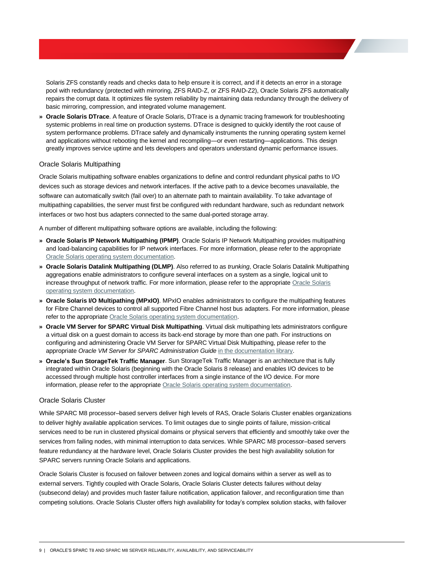Solaris ZFS constantly reads and checks data to help ensure it is correct, and if it detects an error in a storage pool with redundancy (protected with mirroring, ZFS RAID-Z, or ZFS RAID-Z2), Oracle Solaris ZFS automatically repairs the corrupt data. It optimizes file system reliability by maintaining data redundancy through the delivery of basic mirroring, compression, and integrated volume management.

 **» Oracle Solaris DTrace**. A feature of Oracle Solaris, DTrace is a dynamic tracing framework for troubleshooting systemic problems in real time on production systems. DTrace is designed to quickly identify the root cause of system performance problems. DTrace safely and dynamically instruments the running operating system kernel and applications without rebooting the kernel and recompiling—or even restarting—applications. This design greatly improves service uptime and lets developers and operators understand dynamic performance issues.

#### <span id="page-10-0"></span>Oracle Solaris Multipathing

 Oracle Solaris multipathing software enables organizations to define and control redundant physical paths to I/O devices such as storage devices and network interfaces. If the active path to a device becomes unavailable, the software can automatically switch (fail over) to an alternate path to maintain availability. To take advantage of multipathing capabilities, the server must first be configured with redundant hardware, such as redundant network interfaces or two host bus adapters connected to the same dual-ported storage array.

A number of different multipathing software options are available, including the following:

- **» Oracle Solaris IP Network Multipathing (IPMP)**. Oracle Solaris IP Network Multipathing provides multipathing and load-balancing capabilities for IP network interfaces. For more information, please refer to the appropriate [Oracle Solaris operating system documentation.](https://docs.oracle.com/en/operating-systems/)
- **» Oracle Solaris Datalink Multipathing (DLMP)**. Also referred to as *trunking*, Oracle Solaris Datalink Multipathing aggregations enable administrators to configure several interfaces on a system as a single, logical unit to increase throughput of network traffic. For more information, please refer to the appropriate Oracle Solaris [operating system documentation.](https://docs.oracle.com/en/operating-systems/)
- **» Oracle Solaris I/O Multipathing (MPxIO)**. MPxIO enables administrators to configure the multipathing features for Fibre Channel devices to control all supported Fibre Channel host bus adapters. For more information, please refer to the appropriate Oracle Solaris operating system documentation.
- **» Oracle VM Server for SPARC Virtual Disk Multipathing**. Virtual disk multipathing lets administrators configure a virtual disk on a guest domain to access its back-end storage by more than one path. For instructions on configuring and administering Oracle VM Server for SPARC Virtual Disk Multipathing, please refer to the appropriate *Oracle VM Server for SPARC Administration Guide* [in the documentation library.](http://www.oracle.com/technetwork/documentation/vm-sparc-194287.html)
- **» Oracle's Sun StorageTek Traffic Manager**. Sun StorageTek Traffic Manager is an architecture that is fully integrated within Oracle Solaris (beginning with the Oracle Solaris 8 release) and enables I/O devices to be accessed through multiple host controller interfaces from a single instance of the I/O device. For more information, please refer to the appropriate Oracle Solaris operating system documentation.

#### <span id="page-10-1"></span>Oracle Solaris Cluster

 While SPARC M8 processor–based servers deliver high levels of RAS, Oracle Solaris Cluster enables organizations to deliver highly available application services. To limit outages due to single points of failure, mission-critical services need to be run in clustered physical domains or physical servers that efficiently and smoothly take over the services from failing nodes, with minimal interruption to data services. While SPARC M8 processor–based servers feature redundancy at the hardware level, Oracle Solaris Cluster provides the best high availability solution for SPARC servers running Oracle Solaris and applications. **Sun StorageTek Traffic Manager**. Sun StorageTek Traff<br>d within Oracle Solaris (beginning with the Oracle Solaris is<br>d through multiple host controller interfaces from a single ir<br>on, please refer to the appropriate Oracle

 Oracle Solaris Cluster is focused on failover between zones and logical domains within a server as well as to external servers. Tightly coupled with Oracle Solaris, Oracle Solaris Cluster detects failures without delay (subsecond delay) and provides much faster failure notification, application failover, and reconfiguration time than competing solutions. Oracle Solaris Cluster offers high availability for today's complex solution stacks, with failover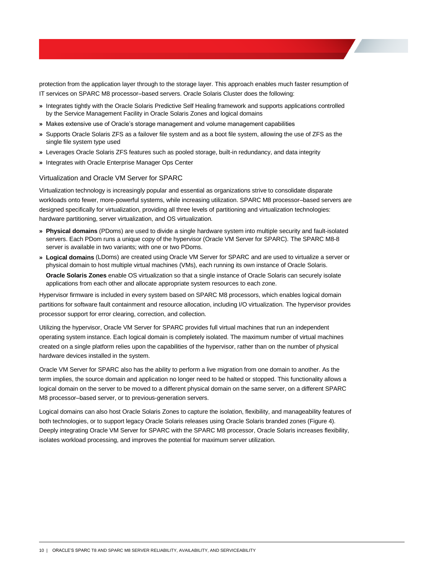protection from the application layer through to the storage layer. This approach enables much faster resumption of IT services on SPARC M8 processor–based servers. Oracle Solaris Cluster does the following:

- **»** Integrates tightly with the Oracle Solaris Predictive Self Healing framework and supports applications controlled by the Service Management Facility in Oracle Solaris Zones and logical domains
- **»** Makes extensive use of Oracle's storage management and volume management capabilities
- **»** Supports Oracle Solaris ZFS as a failover file system and as a boot file system, allowing the use of ZFS as the single file system type used
- **»** Leverages Oracle Solaris ZFS features such as pooled storage, built-in redundancy, and data integrity
- **»** Integrates with Oracle Enterprise Manager Ops Center

#### <span id="page-11-0"></span>Virtualization and Oracle VM Server for SPARC

 Virtualization technology is increasingly popular and essential as organizations strive to consolidate disparate workloads onto fewer, more-powerful systems, while increasing utilization. SPARC M8 processor–based servers are designed specifically for virtualization, providing all three levels of partitioning and virtualization technologies: hardware partitioning, server virtualization, and OS virtualization.

- **» Physical domains** (PDoms) are used to divide a single hardware system into multiple security and fault-isolated servers. Each PDom runs a unique copy of the hypervisor (Oracle VM Server for SPARC). The SPARC M8-8 server is available in two variants; with one or two PDoms.
- **» Logical domains** (LDoms) are created using Oracle VM Server for SPARC and are used to virtualize a server or physical domain to host multiple virtual machines (VMs), each running its own instance of Oracle Solaris.

 **Oracle Solaris Zones** enable OS virtualization so that a single instance of Oracle Solaris can securely isolate applications from each other and allocate appropriate system resources to each zone.

 Hypervisor firmware is included in every system based on SPARC M8 processors, which enables logical domain partitions for software fault containment and resource allocation, including I/O virtualization. The hypervisor provides processor support for error clearing, correction, and collection.

 Utilizing the hypervisor, Oracle VM Server for SPARC provides full virtual machines that run an independent operating system instance. Each logical domain is completely isolated. The maximum number of virtual machines created on a single platform relies upon the capabilities of the hypervisor, rather than on the number of physical hardware devices installed in the system.

 Oracle VM Server for SPARC also has the ability to perform a live migration from one domain to another. As the term implies, the source domain and application no longer need to be halted or stopped. This functionality allows a logical domain on the server to be moved to a different physical domain on the same server, on a different SPARC M8 processor–based server, or to previous-generation servers.

 Logical domains can also host Oracle Solaris Zones to capture the isolation, flexibility, and manageability features of both technologies, or to support legacy Oracle Solaris releases using Oracle Solaris branded zones (Figure 4). Deeply integrating Oracle VM Server for SPARC with the SPARC M8 processor, Oracle Solaris increases flexibility, isolates workload processing, and improves the potential for maximum server utilization.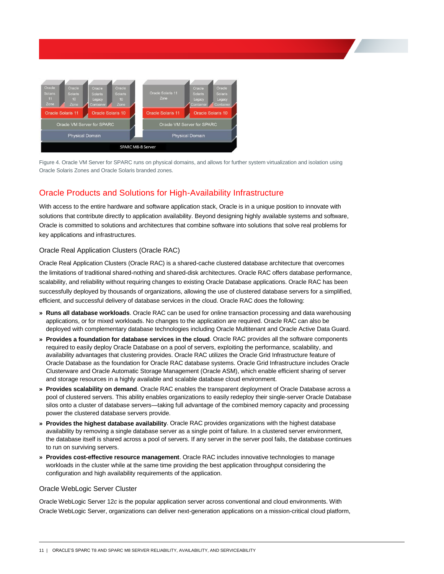

 Figure 4. Oracle VM Server for SPARC runs on physical domains, and allows for further system virtualization and isolation using Oracle Solaris Zones and Oracle Solaris branded zones.

## <span id="page-12-0"></span>Oracle Products and Solutions for High-Availability Infrastructure

 With access to the entire hardware and software application stack, Oracle is in a unique position to innovate with solutions that contribute directly to application availability. Beyond designing highly available systems and software, Oracle is committed to solutions and architectures that combine software into solutions that solve real problems for key applications and infrastructures.

### <span id="page-12-1"></span>Oracle Real Application Clusters (Oracle RAC)

 Oracle Real Application Clusters (Oracle RAC) is a shared-cache clustered database architecture that overcomes the limitations of traditional shared-nothing and shared-disk architectures. Oracle RAC offers database performance, scalability, and reliability without requiring changes to existing Oracle Database applications. Oracle RAC has been successfully deployed by thousands of organizations, allowing the use of clustered database servers for a simplified, efficient, and successful delivery of database services in the cloud. Oracle RAC does the following:

- **» Runs all database workloads**. Oracle RAC can be used for online transaction processing and data warehousing applications, or for mixed workloads. No changes to the application are required. Oracle RAC can also be deployed with complementary database technologies including Oracle Multitenant and Oracle Active Data Guard.
- **» Provides a foundation for database services in the cloud**. Oracle RAC provides all the software components required to easily deploy Oracle Database on a pool of servers, exploiting the performance, scalability, and availability advantages that clustering provides. Oracle RAC utilizes the Oracle Grid Infrastructure feature of Oracle Database as the foundation for Oracle RAC database systems. Oracle Grid Infrastructure includes Oracle Clusterware and Oracle Automatic Storage Management (Oracle ASM), which enable efficient sharing of server and storage resources in a highly available and scalable database cloud environment.
- **» Provides scalability on demand**. Oracle RAC enables the transparent deployment of Oracle Database across a pool of clustered servers. This ability enables organizations to easily redeploy their single-server Oracle Database silos onto a cluster of database servers—taking full advantage of the combined memory capacity and processing power the clustered database servers provide.
- **» Provides the highest database availability**. Oracle RAC provides organizations with the highest database availability by removing a single database server as a single point of failure. In a clustered server environment, the database itself is shared across a pool of servers. If any server in the server pool fails, the database continues to run on surviving servers.
- **» Provides cost-effective resource management**. Oracle RAC includes innovative technologies to manage workloads in the cluster while at the same time providing the best application throughput considering the configuration and high availability requirements of the application.

### <span id="page-12-2"></span>Oracle WebLogic Server Cluster

 Oracle WebLogic Server 12*c* is the popular application server across conventional and cloud environments. With Oracle WebLogic Server, organizations can deliver next-generation applications on a mission-critical cloud platform,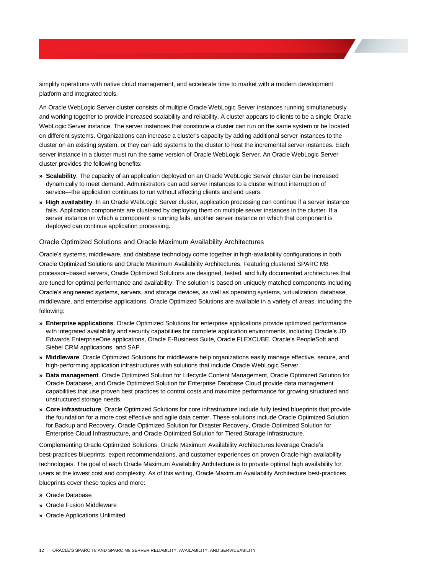simplify operations with native cloud management, and accelerate time to market with a modern development platform and integrated tools.

 An Oracle WebLogic Server cluster consists of multiple Oracle WebLogic Server instances running simultaneously and working together to provide increased scalability and reliability. A cluster appears to clients to be a single Oracle WebLogic Server instance. The server instances that constitute a cluster can run on the same system or be located on different systems. Organizations can increase a cluster's capacity by adding additional server instances to the cluster on an existing system, or they can add systems to the cluster to host the incremental server instances. Each server instance in a cluster must run the same version of Oracle WebLogic Server. An Oracle WebLogic Server cluster provides the following benefits: simplify operations with native cloud management, and accelerate time to market with a modern development<br>An Oracle WebLogic Server cluster consists of multiple Oracle WebLogic Server instances running simultane<br>An Oracle

- **» Scalability**. The capacity of an application deployed on an Oracle WebLogic Server cluster can be increased dynamically to meet demand. Administrators can add server instances to a cluster without interruption of service—the application continues to run without affecting clients and end users.
- **» High availability**. In an Oracle WebLogic Server cluster, application processing can continue if a server instance fails. Application components are clustered by deploying them on multiple server instances in the cluster. If a server instance on which a component is running fails, another server instance on which that component is deployed can continue application processing.

#### <span id="page-13-0"></span>Oracle Optimized Solutions and Oracle Maximum Availability Architectures

 Oracle's systems, middleware, and database technology come together in high-availability configurations in both Oracle Optimized Solutions and Oracle Maximum Availability Architectures. Featuring clustered SPARC M8 processor–based servers, Oracle Optimized Solutions are designed, tested, and fully documented architectures that are tuned for optimal performance and availability. The solution is based on uniquely matched components including Oracle's engineered systems, servers, and storage devices, as well as operating systems, virtualization, database, middleware, and enterprise applications. Oracle Optimized Solutions are available in a variety of areas, including the following:

- **» Enterprise applications**. Oracle Optimized Solutions for enterprise applications provide optimized performance with integrated availability and security capabilities for complete application environments, including Oracle's JD Edwards EnterpriseOne applications, Oracle E-Business Suite, Oracle FLEXCUBE, Oracle's PeopleSoft and Siebel CRM applications, and SAP.
- **» Middleware**. Oracle Optimized Solutions for middleware help organizations easily manage effective, secure, and high-performing application infrastructures with solutions that include Oracle WebLogic Server.
- **» Data management**. Oracle Optimized Solution for Lifecycle Content Management, Oracle Optimized Solution for Oracle Database, and Oracle Optimized Solution for Enterprise Database Cloud provide data management capabilities that use proven best practices to control costs and maximize performance for growing structured and unstructured storage needs.
- **» Core infrastructure**. Oracle Optimized Solutions for core infrastructure include fully tested blueprints that provide the foundation for a more cost effective and agile data center. These solutions include Oracle Optimized Solution for Backup and Recovery, Oracle Optimized Solution for Disaster Recovery, Oracle Optimized Solution for Enterprise Cloud Infrastructure, and Oracle Optimized Solution for Tiered Storage Infrastructure.

 Complementing Oracle Optimized Solutions, Oracle Maximum Availability Architectures leverage Oracle's best-practices blueprints, expert recommendations, and customer experiences on proven Oracle high availability technologies. The goal of each Oracle Maximum Availability Architecture is to provide optimal high availability for users at the lowest cost and complexity. As of this writing, Oracle Maximum Availability Architecture best-practices blueprints cover these topics and more:

- **»** Oracle Database
- **»** Oracle Fusion Middleware
- **»** Oracle Applications Unlimited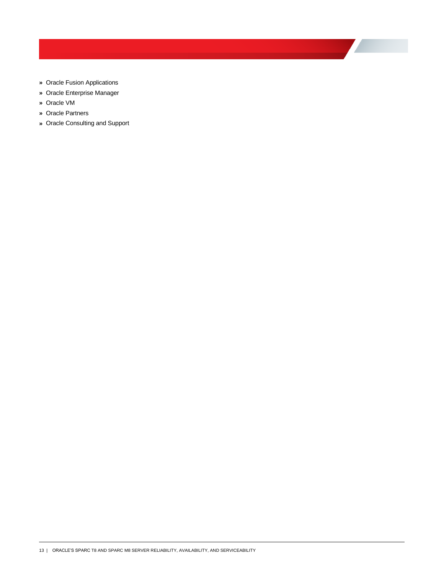- **»** Oracle Fusion Applications
- **»** Oracle Enterprise Manager
- **»** Oracle VM
- **»** Oracle Partners
- <span id="page-14-0"></span>**»** Oracle Consulting and Support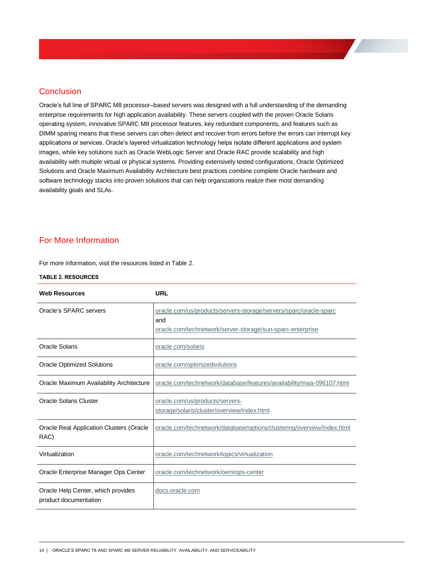Oracle's full line of SPARC M8 processor–based servers was designed with a full understanding of the demanding enterprise requirements for high application availability. These servers coupled with the proven Oracle Solaris operating system, innovative SPARC M8 processor features, key redundant components, and features such as DIMM sparing means that these servers can often detect and recover from errors before the errors can interrupt key **Conclusion**<br>
Oracle's full line of SPARC M8 processor–based servers was designed with a full understanding of the demandin<br>
enterprise requirements for high application availability. These servers coupled with the proven images, while key solutions such as Oracle WebLogic Server and Oracle RAC provide scalability and high availability with multiple virtual or physical systems. Providing extensively tested configurations, Oracle Optimized Solutions and Oracle Maximum Availability Architecture best practices combine complete Oracle hardware and software technology stacks into proven solutions that can help organizations realize their most demanding availability goals and SLAs.

## <span id="page-15-0"></span>For More Information

For more information, visit the resources listed in Table 2.

#### **TABLE 2. RESOURCES**

| <b>Web Resources</b>                                        | URL                                                                                                                                    |
|-------------------------------------------------------------|----------------------------------------------------------------------------------------------------------------------------------------|
| Oracle's SPARC servers                                      | oracle.com/us/products/servers-storage/servers/sparc/oracle-sparc<br>and<br>oracle.com/technetwork/server-storage/sun-sparc-enterprise |
| Oracle Solaris                                              | oracle.com/solaris                                                                                                                     |
| <b>Oracle Optimized Solutions</b>                           | oracle.com/optimizedsolutions                                                                                                          |
| Oracle Maximum Availability Architecture                    | oracle.com/technetwork/database/features/availability/maa-096107.html                                                                  |
| Oracle Solaris Cluster                                      | oracle.com/us/products/servers-<br>storage/solaris/cluster/overview/index.html                                                         |
| <b>Oracle Real Application Clusters (Oracle</b><br>RAC)     | oracle.com/technetwork/database/options/clustering/overview/index.html                                                                 |
| Virtualization                                              | oracle.com/technetwork/topics/virtualization                                                                                           |
| Oracle Enterprise Manager Ops Center                        | oracle.com/technetwork/oem/ops-center                                                                                                  |
| Oracle Help Center, which provides<br>product documentation | docs.oracle.com                                                                                                                        |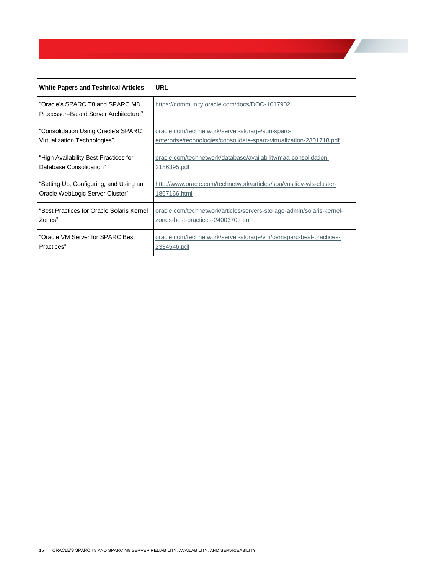| <b>White Papers and Technical Articles</b>                              | <b>URL</b>                                                            |
|-------------------------------------------------------------------------|-----------------------------------------------------------------------|
| "Oracle's SPARC T8 and SPARC M8<br>Processor-Based Server Architecture" | https://community.oracle.com/docs/DOC-1017902                         |
| "Consolidation Using Oracle's SPARC                                     | oracle.com/technetwork/server-storage/sun-sparc-                      |
| Virtualization Technologies"                                            | enterprise/technologies/consolidate-sparc-virtualization-2301718.pdf  |
| "High Availability Best Practices for                                   | oracle.com/technetwork/database/availability/maa-consolidation-       |
| Database Consolidation"                                                 | 2186395.pdf                                                           |
| "Setting Up, Configuring, and Using an                                  | http://www.oracle.com/technetwork/articles/soa/vasiliev-wls-cluster-  |
| Oracle WebLogic Server Cluster"                                         | 1867166.html                                                          |
| "Best Practices for Oracle Solaris Kernel                               | oracle.com/technetwork/articles/servers-storage-admin/solaris-kernel- |
| Zones"                                                                  | zones-best-practices-2400370.html                                     |
| "Oracle VM Server for SPARC Best                                        | oracle.com/technetwork/server-storage/vm/ovmsparc-best-practices-     |
| Practices"                                                              | 2334546.pdf                                                           |